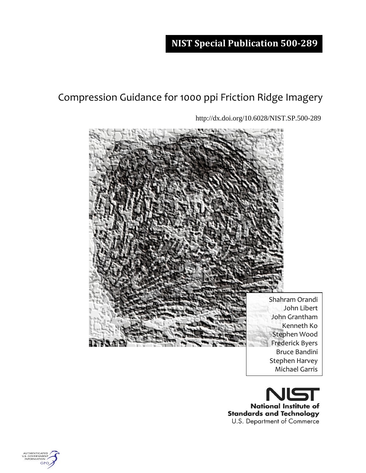# **NIST Special Publication 500-289**

# Compression Guidance for 1000 ppi Friction Ridge Imagery

http://dx.doi.org/10.6028/NIST.SP.500-289



Shahram Orandi John Libert John Grantham Kenneth Ko Stephen Wood Frederick Byers Bruce Bandini Stephen Harvey Michael Garris



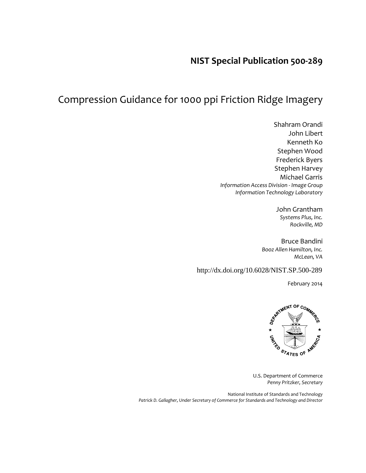## **NIST Special Publication 500-289**

# Compression Guidance for 1000 ppi Friction Ridge Imagery

Shahram Orandi John Libert Kenneth Ko Stephen Wood Frederick Byers Stephen Harvey Michael Garris *Information Access Division - Image Group Information Technology Laboratory*

> John Grantham *Systems Plus, Inc. Rockville, MD*

Bruce Bandini *Booz Allen Hamilton, Inc. McLean, VA*

http://dx.doi.org/10.6028/NIST.SP.500-289

February 2014



U.S. Department of Commerce *Penny Pritzker, Secretary*

National Institute of Standards and Technology *Patrick D. Gallagher, Under Secretary of Commerce for Standards and Technology and Director*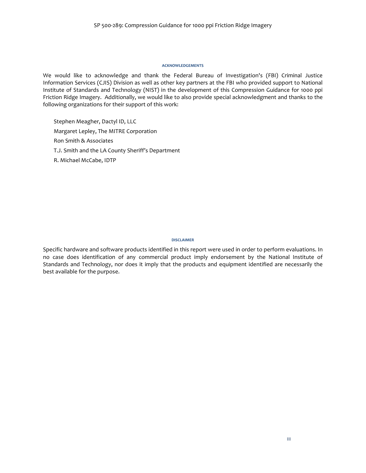#### **ACKNOWLEDGEMENTS**

We would like to acknowledge and thank the Federal Bureau of Investigation's (FBI) Criminal Justice Information Services (CJIS) Division as well as other key partners at the FBI who provided support to National Institute of Standards and Technology (NIST) in the development of this Compression Guidance for 1000 ppi Friction Ridge Imagery. Additionally, we would like to also provide special acknowledgment and thanks to the following organizations for their support of this work:

Stephen Meagher, Dactyl ID, LLC Margaret Lepley, The MITRE Corporation Ron Smith & Associates T.J. Smith and the LA County Sheriff's Department R. Michael McCabe, IDTP

#### **DISCLAIMER**

Specific hardware and software products identified in this report were used in order to perform evaluations. In no case does identification of any commercial product imply endorsement by the National Institute of Standards and Technology, nor does it imply that the products and equipment identified are necessarily the best available for the purpose.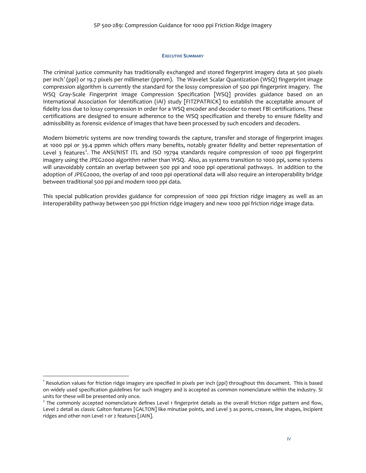#### **EXECUTIVE SUMMARY**

The criminal justice community has traditionally exchanged and stored fingerprint imagery data at 500 pixels per inch<sup>[1](#page-3-0)</sup> (ppi) or 19.7 pixels per millimeter (ppmm). The Wavelet Scalar Quantization (WSQ) fingerprint image compression algorithm is currently the standard for the lossy compression of 500 ppi fingerprint imagery. The WSQ Gray-Scale Fingerprint Image Compression Specification [WSQ] provides guidance based on an International Association for Identification (IAI) study [FITZPATRICK] to establish the acceptable amount of fidelity loss due to lossy compression in order for a WSQ encoder and decoder to meet FBI certifications. These certifications are designed to ensure adherence to the WSQ specification and thereby to ensure fidelity and admissibility as forensic evidence of images that have been processed by such encoders and decoders.

Modern biometric systems are now trending towards the capture, transfer and storage of fingerprint images at 1000 ppi or 39.4 ppmm which offers many benefits, notably greater fidelity and better representation of Level 3 features<sup>[2](#page-3-1)</sup>. The ANSI/NIST ITL and ISO 19794 standards require compression of 1000 ppi fingerprint imagery using the JPEG2000 algorithm rather than WSQ. Also, as systems transition to 1000 ppi, some systems will unavoidably contain an overlap between 500 ppi and 1000 ppi operational pathways. In addition to the adoption of JPEG2000, the overlap of and 1000 ppi operational data will also require an interoperability bridge between traditional 500 ppi and modern 1000 ppi data.

This special publication provides guidance for compression of 1000 ppi friction ridge imagery as well as an interoperability pathway between 500 ppi friction ridge imagery and new 1000 ppi friction ridge image data.

<span id="page-3-0"></span><sup>1</sup> Resolution values for friction ridge imagery are specified in pixels per inch (ppi) throughout this document. This is based on widely used specification guidelines for such imagery and is accepted as common nomenclature within the industry. SI units for these will be presented only once.

<span id="page-3-1"></span> $<sup>2</sup>$  The commonly accepted nomenclature defines Level 1 fingerprint details as the overall friction ridge pattern and flow,</sup> Level 2 detail as classic Galton features [GALTON] like minutiae points, and Level 3 as pores, creases, line shapes, incipient ridges and other non Level 1 or 2 features [JAIN].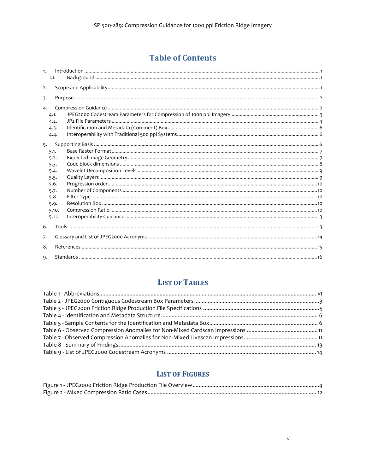# **Table of Contents**

| 1. | 1.1.         |  |
|----|--------------|--|
| 2. |              |  |
| 3. |              |  |
| 4. |              |  |
|    | 4.1.<br>4.2. |  |
|    | 4.3.         |  |
|    | 4.4.         |  |
| 5. |              |  |
|    | 5.1.         |  |
|    | 5.2.         |  |
|    | 5.3.         |  |
|    | 5.4.         |  |
|    | 5.5.<br>5.6. |  |
|    | 5.7.         |  |
|    | 5.8.         |  |
|    | 5.9.         |  |
|    | 5.10.        |  |
|    | 5.11.        |  |
| 6. |              |  |
| 7. |              |  |
| 8. |              |  |
| 9. |              |  |

## **LIST OF TABLES**

## **LIST OF FIGURES**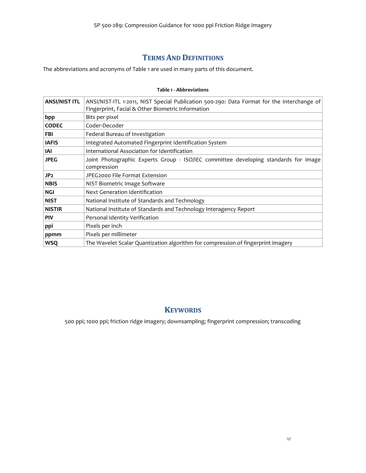### **TERMS AND DEFINITIONS**

The abbreviations and acronyms of [Table 1](#page-5-0) are used in many parts of this document.

<span id="page-5-0"></span>

| <b>ANSI/NIST ITL</b> | ANSI/NIST-ITL 1-2011, NIST Special Publication 500-290: Data Format for the Interchange of<br>Fingerprint, Facial & Other Biometric Information |
|----------------------|-------------------------------------------------------------------------------------------------------------------------------------------------|
| bpp                  | Bits per pixel                                                                                                                                  |
| <b>CODEC</b>         | Coder-Decoder                                                                                                                                   |
| FBI                  | Federal Bureau of Investigation                                                                                                                 |
| <b>IAFIS</b>         | Integrated Automated Fingerprint Identification System                                                                                          |
| IAI                  | International Association for Identification                                                                                                    |
| <b>JPEG</b>          | Joint Photographic Experts Group - ISO/IEC committee developing standards for image<br>compression                                              |
| JP <sub>2</sub>      | JPEG2000 File Format Extension                                                                                                                  |
| <b>NBIS</b>          | NIST Biometric Image Software                                                                                                                   |
| <b>NGI</b>           | Next Generation Identification                                                                                                                  |
| <b>NIST</b>          | National Institute of Standards and Technology                                                                                                  |
| <b>NISTIR</b>        | National Institute of Standards and Technology Interagency Report                                                                               |
| <b>PIV</b>           | Personal Identity Verification                                                                                                                  |
| ppi                  | Pixels per inch                                                                                                                                 |
| ppmm                 | Pixels per millimeter                                                                                                                           |
| <b>WSQ</b>           | The Wavelet Scalar Quantization algorithm for compression of fingerprint imagery                                                                |

#### **Table 1 - Abbreviations**

### **KEYWORDS**

500 ppi; 1000 ppi; friction ridge imagery; downsampling; fingerprint compression; transcoding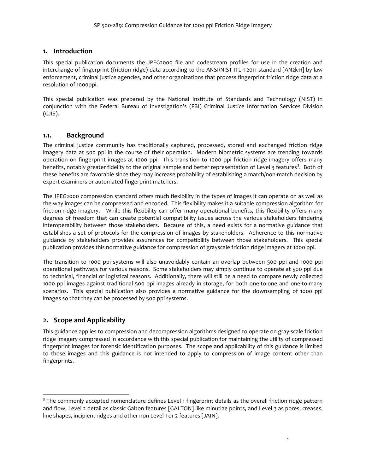#### <span id="page-6-0"></span>**1. Introduction**

This special publication documents the JPEG2000 file and codestream profiles for use in the creation and interchange of fingerprint (friction ridge) data according to the ANSI/NIST-ITL 1-2011 standard [AN2k11] by law enforcement, criminal justice agencies, and other organizations that process fingerprint friction ridge data at a resolution of 1000ppi.

This special publication was prepared by the National Institute of Standards and Technology (NIST) in conjunction with the Federal Bureau of Investigation's (FBI) Criminal Justice Information Services Division (CJIS).

#### <span id="page-6-1"></span>**1.1. Background**

The criminal justice community has traditionally captured, processed, stored and exchanged friction ridge imagery data at 500 ppi in the course of their operation. Modern biometric systems are trending towards operation on fingerprint images at 1000 ppi. This transition to 1000 ppi friction ridge imagery offers many benefits, notably greater fidelity to the original sample and better representation of Level [3](#page-6-3) features<sup>3</sup>. Both of these benefits are favorable since they may increase probability of establishing a match/non-match decision by expert examiners or automated fingerprint matchers.

The JPEG2000 compression standard offers much flexibility in the types of images it can operate on as well as the way images can be compressed and encoded. This flexibility makes it a suitable compression algorithm for friction ridge imagery. While this flexibility can offer many operational benefits, this flexibility offers many degrees of freedom that can create potential compatibility issues across the various stakeholders hindering interoperability between those stakeholders. Because of this, a need exists for a normative guidance that establishes a set of protocols for the compression of images by stakeholders. Adherence to this normative guidance by stakeholders provides assurances for compatibility between those stakeholders. This special publication provides this normative guidance for compression of grayscale friction ridge imagery at 1000 ppi.

The transition to 1000 ppi systems will also unavoidably contain an overlap between 500 ppi and 1000 ppi operational pathways for various reasons. Some stakeholders may simply continue to operate at 500 ppi due to technical, financial or logistical reasons. Additionally, there will still be a need to compare newly collected 1000 ppi images against traditional 500 ppi images already in storage, for both one-to-one and one-to-many scenarios. This special publication also provides a normative guidance for the downsampling of 1000 ppi images so that they can be processed by 500 ppi systems.

### <span id="page-6-2"></span>**2. Scope and Applicability**

This guidance applies to compression and decompression algorithms designed to operate on gray-scale friction ridge imagery compressed in accordance with this special publication for maintaining the utility of compressed fingerprint images for forensic identification purposes. The scope and applicability of this guidance is limited to those images and this guidance is not intended to apply to compression of image content other than fingerprints.

<span id="page-6-3"></span><sup>&</sup>lt;sup>3</sup> The commonly accepted nomenclature defines Level 1 fingerprint details as the overall friction ridge pattern and flow, Level 2 detail as classic Galton features [GALTON] like minutiae points, and Level 3 as pores, creases, line shapes, incipient ridges and other non Level 1 or 2 features [JAIN].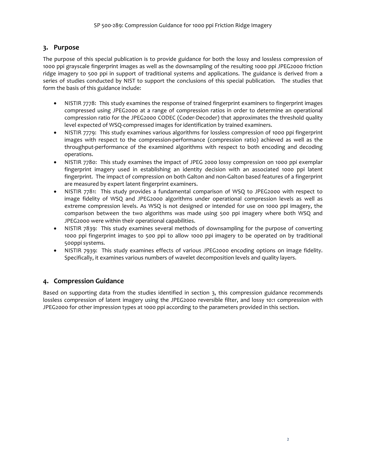#### <span id="page-7-0"></span>**3. Purpose**

The purpose of this special publication is to provide guidance for both the lossy and lossless compression of 1000 ppi grayscale fingerprint images as well as the downsampling of the resulting 1000 ppi JPEG2000 friction ridge imagery to 500 ppi in support of traditional systems and applications. The guidance is derived from a series of studies conducted by NIST to support the conclusions of this special publication. The studies that form the basis of this guidance include:

- NISTIR 7778: This study examines the response of trained fingerprint examiners to fingerprint images compressed using JPEG2000 at a range of compression ratios in order to determine an operational compression ratio for the JPEG2000 CODEC (Coder-Decoder) that approximates the threshold quality level expected of WSQ-compressed images for identification by trained examiners.
- NISTIR 7779: This study examines various algorithms for lossless compression of 1000 ppi fingerprint images with respect to the compression-performance (compression ratio) achieved as well as the throughput-performance of the examined algorithms with respect to both encoding and decoding operations.
- NISTIR 7780: This study examines the impact of JPEG 2000 lossy compression on 1000 ppi exemplar fingerprint imagery used in establishing an identity decision with an associated 1000 ppi latent fingerprint. The impact of compression on both Galton and non-Galton based features of a fingerprint are measured by expert latent fingerprint examiners.
- NISTIR 7781: This study provides a fundamental comparison of WSQ to JPEG2000 with respect to image fidelity of WSQ and JPEG2000 algorithms under operational compression levels as well as extreme compression levels. As WSQ is not designed or intended for use on 1000 ppi imagery, the comparison between the two algorithms was made using 500 ppi imagery where both WSQ and JPEG2000 were within their operational capabilities.
- NISTIR 7839: This study examines several methods of downsampling for the purpose of converting 1000 ppi fingerprint images to 500 ppi to allow 1000 ppi imagery to be operated on by traditional 500ppi systems.
- NISTIR 7939: This study examines effects of various JPEG2000 encoding options on image fidelity. Specifically, it examines various numbers of wavelet decomposition levels and quality layers.

### <span id="page-7-1"></span>**4. Compression Guidance**

<span id="page-7-2"></span>Based on supporting data from the studies identified in section [3,](#page-7-0) this compression guidance recommends lossless compression of latent imagery using the JPEG2000 reversible filter, and lossy 10:1 compression with JPEG2000 for other impression types at 1000 ppi according to the parameters provided in this section.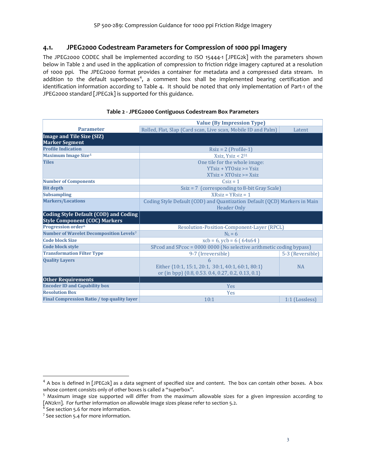#### <span id="page-8-0"></span>**4.1. JPEG2000 Codestream Parameters for Compression of 1000 ppi Imagery**

The JPEG2000 CODEC shall be implemented according to ISO 15444-1 [JPEG2k] with the parameters shown below in [Table 2](#page-8-1) and used in the application of compression to friction ridge imagery captured at a resolution of 1000 ppi. The JPEG2000 format provides a container for metadata and a compressed data stream. In addition to the default superboxes<sup>[4](#page-8-2)</sup>, a comment box shall be implemented bearing certification and identification information according to [Table 4.](#page-11-3) It should be noted that only implementation of Part-1 of the JPEG2000 standard [JPEG2k] is supported for this guidance.

<span id="page-8-1"></span>

|                                                     | <b>Value (By Impression Type)</b>                                         |                  |  |  |  |  |  |  |  |
|-----------------------------------------------------|---------------------------------------------------------------------------|------------------|--|--|--|--|--|--|--|
| <b>Parameter</b>                                    | Rolled, Flat, Slap (Card scan, Live scan, Mobile ID and Palm)             | Latent           |  |  |  |  |  |  |  |
| Image and Tile Size (SIZ)                           |                                                                           |                  |  |  |  |  |  |  |  |
| <b>Marker Segment</b>                               |                                                                           |                  |  |  |  |  |  |  |  |
| <b>Profile Indication</b>                           | $Rsiz = 2$ (Profile-1)                                                    |                  |  |  |  |  |  |  |  |
| <b>Maximum Image Size<sup>5</sup></b>               | Xsiz, $Y$ siz < $2^{31}$                                                  |                  |  |  |  |  |  |  |  |
| <b>Tiles</b>                                        | One tile for the whole image:                                             |                  |  |  |  |  |  |  |  |
|                                                     | $YT$ siz + $YT$ $O$ siz >= $Y$ siz                                        |                  |  |  |  |  |  |  |  |
|                                                     | $XTsiz + XTOsiz \geq Xsiz$                                                |                  |  |  |  |  |  |  |  |
| <b>Number of Components</b>                         | $CSiz = 1$                                                                |                  |  |  |  |  |  |  |  |
| <b>Bit depth</b>                                    | Ssiz = 7 (corresponding to 8-bit Gray Scale)                              |                  |  |  |  |  |  |  |  |
| <b>Subsampling</b>                                  | $XRsiz = YRsiz = 1$                                                       |                  |  |  |  |  |  |  |  |
| <b>Markers/Locations</b>                            | Coding Style Default (COD) and Quantization Default (QCD) Markers in Main |                  |  |  |  |  |  |  |  |
|                                                     | <b>Header Only</b>                                                        |                  |  |  |  |  |  |  |  |
| Coding Style Default (COD) and Coding               |                                                                           |                  |  |  |  |  |  |  |  |
| <b>Style Component (COC) Markers</b>                |                                                                           |                  |  |  |  |  |  |  |  |
| Progression order <sup>6</sup>                      | Resolution-Position-Component-Layer (RPCL)                                |                  |  |  |  |  |  |  |  |
| Number of Wavelet Decomposition Levels <sup>7</sup> | $NL = 6$                                                                  |                  |  |  |  |  |  |  |  |
| <b>Code block Size</b>                              | $xcb = 6$ , $ycb = 6$ (64 $x64$ )                                         |                  |  |  |  |  |  |  |  |
| <b>Code block style</b>                             | SPcod and SPcoc = 0000 0000 (No selective arithmetic coding bypass)       |                  |  |  |  |  |  |  |  |
| <b>Transformation Filter Type</b>                   | 9-7 (Irreversible)                                                        | 5-3 (Reversible) |  |  |  |  |  |  |  |
| <b>Quality Layers</b>                               | 6                                                                         |                  |  |  |  |  |  |  |  |
|                                                     | Either {10:1, 15:1, 20:1, 30:1, 40:1, 60:1, 80:1}                         | <b>NA</b>        |  |  |  |  |  |  |  |
|                                                     | or (in bpp) {0.8, 0.53. 0.4, 0.27, 0.2, 0.13, 0.1}                        |                  |  |  |  |  |  |  |  |
| <b>Other Requirements</b>                           |                                                                           |                  |  |  |  |  |  |  |  |
| <b>Encoder ID and Capability box</b>                | Yes                                                                       |                  |  |  |  |  |  |  |  |
| <b>Resolution Box</b>                               | <b>Yes</b>                                                                |                  |  |  |  |  |  |  |  |
| Final Compression Ratio / top quality layer         | 10:1<br>1:1 (Lossless)                                                    |                  |  |  |  |  |  |  |  |

#### **Table 2 - JPEG2000 Contiguous Codestream Box Parameters**

<span id="page-8-2"></span> $4$  A box is defined in [JPEG2k] as a data segment of specified size and content. The box can contain other boxes. A box whose content consists only of other boxes is called a "superbox".

<span id="page-8-3"></span><sup>5</sup> Maximum image size supported will differ from the maximum allowable sizes for a given impression according to [AN2k11]. For further information on allowable image sizes please refer to section [5.2.](#page-12-1)

<span id="page-8-4"></span> $6$  See sectio[n 5.6](#page-15-0) for more information.

<span id="page-8-5"></span><sup>&</sup>lt;sup>7</sup> See sectio[n 5.4](#page-14-0) for more information.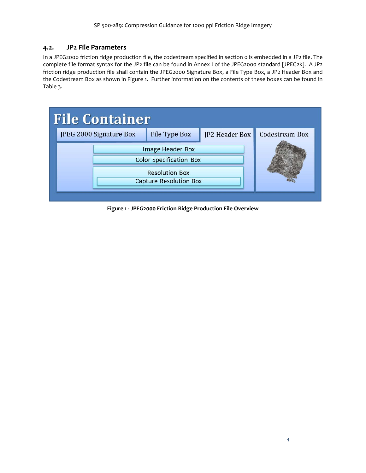#### <span id="page-9-0"></span>**4.2. JP2 File Parameters**

In a JPEG2000 friction ridge production file, the codestream specified in section [0](#page-7-2) is embedded in a JP2 file. The complete file format syntax for the JP2 file can be found in Annex I of the JPEG2000 standard [JPEG2k]. A JP2 friction ridge production file shall contain the JPEG2000 Signature Box, a File Type Box, a JP2 Header Box and the Codestream Box as shown in [Figure 1.](#page-9-1) Further information on the contents of these boxes can be found in [Table 3.](#page-10-0)



<span id="page-9-1"></span>**Figure 1 - JPEG2000 Friction Ridge Production File Overview**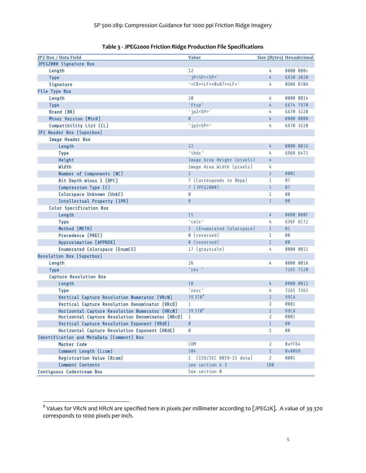<span id="page-10-0"></span>

| <b>JP2 Box / Data Field</b>                                                                        | <b>Value</b>                                              |                                  | <b>Size (Bytes) Hexadecimal</b> |
|----------------------------------------------------------------------------------------------------|-----------------------------------------------------------|----------------------------------|---------------------------------|
| JPEG2000 Signature Box                                                                             |                                                           |                                  |                                 |
| Length                                                                                             | 12                                                        | 4                                | 0000 000c                       |
| <b>Type</b>                                                                                        | 'iP <sp><sp>'</sp></sp>                                   | 4                                | 6A50 2020                       |
| Signature                                                                                          | $'$ <cr><lf>&lt;<math>0x87</math>&gt;<lf>'</lf></lf></cr> | 4                                | 0D0A 870A                       |
| <b>File Type Box</b>                                                                               |                                                           |                                  |                                 |
| Length                                                                                             | 20                                                        | 4                                | 0000 0014                       |
| <b>Type</b>                                                                                        | 'ftyp'                                                    | 4                                | 6674 7970                       |
| <b>Brand (BR)</b>                                                                                  | $'$ jp2 <sp>'</sp>                                        | 4                                | 6A70 3220                       |
| Minor Version (MinV)                                                                               | $\theta$                                                  | 4                                | 0000 0000                       |
| Compatibility List (CL)                                                                            | $'$ jp2 <sp>'</sp>                                        | 4                                | 6A70 3220                       |
| JP2 Header Box (Superbox)                                                                          |                                                           |                                  |                                 |
| <b>Image Header Box</b>                                                                            |                                                           |                                  |                                 |
| Length                                                                                             | 22                                                        | 4                                | 0000 0016                       |
| <b>Type</b>                                                                                        | 'ihdr'                                                    | 4                                | 6968 6472                       |
| Height                                                                                             | Image Area Height (pixels)                                | 4                                |                                 |
| Width                                                                                              | Image Area Width (pixels)                                 | 4                                |                                 |
| Number of Components (NC)                                                                          | $\mathbf{1}$                                              | $\overline{2}$                   | 0001                            |
| Bit Depth minus 1 (BPC)                                                                            | 7 (Corresponds to 8bpp)                                   | 1                                | 07                              |
| Compression Type (C)                                                                               | 7 (JPEG2000)                                              | $\mathbf{1}$                     | 07                              |
| Colorspace Unknown (UnkC)                                                                          | 0                                                         | 1                                | 80                              |
| Intellectual Property (IPR)                                                                        | Ø                                                         | $\mathbf{1}$                     | 80                              |
| <b>Color Specification Box</b>                                                                     |                                                           |                                  |                                 |
| Length                                                                                             | 15                                                        | 4                                | 0000 000F                       |
| <b>Type</b>                                                                                        | 'colr'                                                    | 4                                | 636F 6C72                       |
| Method (METH)                                                                                      | 1 (Enumerated Colorspace)                                 | $\mathbf{1}$                     | 01                              |
| <b>Precedence (PREC)</b>                                                                           | 0 (reserved)                                              | 1                                | 80                              |
| Approximation (APPROX)                                                                             | 0 (reserved)                                              | $\mathbf{1}$                     | 80                              |
| <b>Enumerated Colorspace (EnumCS)</b>                                                              | 17 (grayscale)                                            | 4                                | 0000 0011                       |
| <b>Resolution Box (Superbox)</b>                                                                   |                                                           |                                  |                                 |
| Length                                                                                             | 26                                                        | 4                                | 0000 001A                       |
| <b>Type</b>                                                                                        | $'$ res $'$                                               |                                  | 7265 7320                       |
| <b>Capture Resolution Box</b>                                                                      |                                                           |                                  |                                 |
| Length                                                                                             | 18                                                        | 4                                | 0000 0012                       |
| <b>Type</b>                                                                                        | 'resc'                                                    | 4                                | 7265 7363                       |
| Vertical Capture Resolution Numerator (VRcN)                                                       | $39370^{8}$                                               | $\mathbf{2}$                     | 99CA                            |
| Vertical Capture Resolution Denominator (VRcD)                                                     | $\mathbf{1}$                                              | 2                                | 0001                            |
| Horizontal Capture Resolution Numerator (HRcN)<br>Horizontal Capture Resolution Denominator (HRcD) | $39370^{8}$<br>1                                          | $\overline{2}$<br>$\overline{2}$ | <b>99CA</b><br>0001             |
| Vertical Capture Resolution Exponent (VRdE)                                                        | Ø                                                         | $\mathbf{1}$                     | 80                              |
| Horizontal Capture Resolution Exponent (HRdE)                                                      | Ø                                                         | 1                                | 80                              |
| Identification and MetaData (Comment) Box                                                          |                                                           |                                  |                                 |
| <b>Marker Code</b>                                                                                 | <b>COM</b>                                                | 2                                | 0xFF64                          |
| Comment Length (Lcom)                                                                              | 104                                                       | $\mathbf{2}$                     | 0x0068                          |
| <b>Registration Value (Rcom)</b>                                                                   | 1 (ISO/IEC 8859-15 data)                                  | 2                                | 0001                            |
| Comment Contents                                                                                   | see section 4.3                                           | 100                              |                                 |
| Contiguous Codestream Box                                                                          | See section 0                                             |                                  |                                 |

#### **Table 3 - JPEG2000 Friction Ridge Production File Specifications**

<span id="page-10-1"></span>

<span id="page-10-2"></span> $^8$  Values for VRcN and HRcN are specified here in pixels per millimeter according to [JPEG2K]. A value of 39 370 corresponds to 1000 pixels per inch.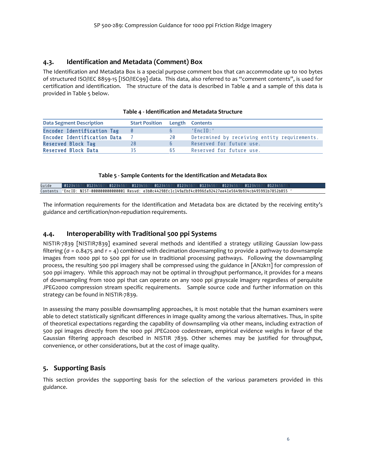#### <span id="page-11-0"></span>**4.3. Identification and Metadata (Comment) Box**

The Identification and Metadata Box is a special purpose comment box that can accommodate up to 100 bytes of structured ISO/IEC 8859-15 [ISO/IEC99] data. This data, also referred to as "comment contents", is used for certification and identification. The structure of the data is described in [Table 4](#page-11-3) and a sample of this data is provided i[n Table 5](#page-11-4) below.

<span id="page-11-3"></span>

| <b>Data Segment Description</b>   | <b>Start Position Length Contents</b> |             |                                              |
|-----------------------------------|---------------------------------------|-------------|----------------------------------------------|
| <b>Encoder Identification Tag</b> |                                       |             | $'$ Fnc $ID$ :'                              |
| Encoder Identification Data       |                                       | 20          | Determined by receiving entity requirements. |
| <b>Reserved Block Tag</b>         | 28                                    | $\mathbf b$ | Reserved for future use.                     |
| <b>Reserved Block Data</b>        | 35                                    | 65          | Reserved for future use.                     |

#### **Table 5 - Sample Contents for the Identification and Metadata Box**

<span id="page-11-4"></span>

| Guide |  |  | 01234567 01234567 01234567 01234567 01234567 01234567 01234567 01234567 01234567 01234567 01234567 0123456    |  |  |  |
|-------|--|--|---------------------------------------------------------------------------------------------------------------|--|--|--|
|       |  |  | Contents 'EncID: NIST-000000000000001 Resvd: e3b0c44298fc1c149afbf4c8996fa92427ee41e5649b934cb495991b7852b855 |  |  |  |

The information requirements for the Identification and Metadata box are dictated by the receiving entity's guidance and certification/non-repudiation requirements.

#### <span id="page-11-1"></span>**4.4. Interoperability with Traditional 500 ppi Systems**

NISTIR-7839 [NISTIR7839] examined several methods and identified a strategy utilizing Gaussian low-pass filtering ( $\sigma$  = 0.8475 and  $r = 4$ ) combined with decimation downsampling to provide a pathway to downsample images from 1000 ppi to 500 ppi for use in traditional processing pathways. Following the downsampling process, the resulting 500 ppi imagery shall be compressed using the guidance in [AN2k11] for compression of 500 ppi imagery. While this approach may not be optimal in throughput performance, it provides for a means of downsampling from 1000 ppi that can operate on any 1000 ppi grayscale imagery regardless of perquisite JPEG2000 compression stream specific requirements. Sample source code and further information on this strategy can be found in NISTIR-7839.

In assessing the many possible downsampling approaches, it is most notable that the human examiners were able to detect statistically significant differences in image quality among the various alternatives. Thus, in spite of theoretical expectations regarding the capability of downsampling via other means, including extraction of 500 ppi images directly from the 1000 ppi JPEG2000 codestream, empirical evidence weighs in favor of the Gaussian filtering approach described in NISTIR 7839. Other schemes may be justified for throughput, convenience, or other considerations, but at the cost of image quality.

### <span id="page-11-2"></span>**5. Supporting Basis**

This section provides the supporting basis for the selection of the various parameters provided in this guidance.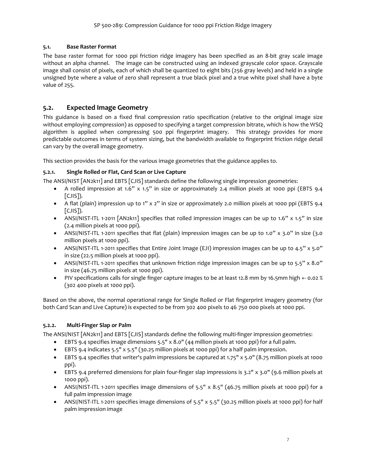#### <span id="page-12-0"></span>**5.1. Base Raster Format**

The base raster format for 1000 ppi friction ridge imagery has been specified as an 8-bit gray scale image without an alpha channel. The image can be constructed using an indexed grayscale color space. Grayscale image shall consist of pixels, each of which shall be quantized to eight bits (256 gray levels) and held in a single unsigned byte where a value of zero shall represent a true black pixel and a true white pixel shall have a byte value of 255.

#### <span id="page-12-1"></span>**5.2. Expected Image Geometry**

This guidance is based on a fixed final compression ratio specification (relative to the original image size without employing compression) as opposed to specifying a target compression bitrate, which is how the WSQ algorithm is applied when compressing 500 ppi fingerprint imagery. This strategy provides for more predictable outcomes in terms of system sizing, but the bandwidth available to fingerprint friction ridge detail can vary by the overall image geometry.

This section provides the basis for the various image geometries that the guidance applies to.

#### **5.2.1. Single Rolled or Flat, Card Scan or Live Capture**

The ANSI/NIST [AN2k11] and EBTS [CJIS] standards define the following single impression geometries:

- A rolled impression at 1.6" x 1.5" in size or approximately 2.4 million pixels at 1000 ppi (EBTS 9.4 [CJIS]).
- A flat (plain) impression up to 1" x 2" in size or approximately 2.0 million pixels at 1000 ppi (EBTS 9.4 [CJIS]).
- ANSI/NIST-ITL 1-2011 [AN2k11] specifies that rolled impression images can be up to 1.6" x 1.5" in size (2.4 million pixels at 1000 ppi).
- ANSI/NIST-ITL 1-2011 specifies that flat (plain) impression images can be up to 1.0" x 3.0" in size (3.0 million pixels at 1000 ppi).
- ANSI/NIST-ITL 1-2011 specifies that Entire Joint Image (EJI) impression images can be up to 4.5" x 5.0" in size (22.5 million pixels at 1000 ppi).
- ANSI/NIST-ITL 1-2011 specifies that unknown friction ridge impression images can be up to 5.5" x 8.0" in size (46.75 million pixels at 1000 ppi).
- PIV specifications calls for single finger capture images to be at least 12.8 mm by 16.5mm high +- 0.02 % (302 400 pixels at 1000 ppi).

Based on the above, the normal operational range for Single Rolled or Flat fingerprint imagery geometry (for both Card Scan and Live Capture) is expected to be from 302 400 pixels to 46 750 000 pixels at 1000 ppi.

#### <span id="page-12-2"></span>**5.2.2. Multi-Finger Slap or Palm**

The ANSI/NIST [AN2k11] and EBTS [CJIS] standards define the following multi-finger impression geometries:

- EBTS 9.4 specifies image dimensions 5.5" x 8.0" (44 million pixels at 1000 ppi) for a full palm.
- EBTS 9.4 indicates 5.5" x 5.5" (30.25 million pixels at 1000 ppi) for a half palm impression.
- EBTS 9.4 specifies that writer's palm impressions be captured at 1.75" x 5.0" (8.75 million pixels at 1000 ppi).
- EBTS 9.4 preferred dimensions for plain four-finger slap impressions is 3.2" x 3.0" (9.6 million pixels at 1000 ppi).
- ANSI/NIST-ITL 1-2011 specifies image dimensions of 5.5"  $\times$  8.5" (46.75 million pixels at 1000 ppi) for a full palm impression image
- ANSI/NIST-ITL 1-2011 specifies image dimensions of 5.5" x 5.5" (30.25 million pixels at 1000 ppi) for half palm impression image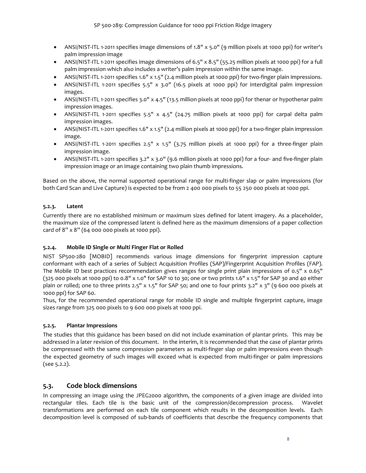- ANSI/NIST-ITL 1-2011 specifies image dimensions of 1.8" x 5.0" (9 million pixels at 1000 ppi) for writer's palm impression image
- ANSI/NIST-ITL 1-2011 specifies image dimensions of 6.5" x 8.5" (55.25 million pixels at 1000 ppi) for a full palm impression which also includes a writer's palm impression within the same image.
- ANSI/NIST-ITL 1-2011 specifies 1.6" x 1.5" (2.4 million pixels at 1000 ppi) for two-finger plain impressions.
- ANSI/NIST-ITL 1-2011 specifies 5.5" x 3.0" (16.5 pixels at 1000 ppi) for interdigital palm impression images.
- ANSI/NIST-ITL 1-2011 specifies 3.0" x 4.5" (13.5 million pixels at 1000 ppi) for thenar or hypothenar palm impression images.
- ANSI/NIST-ITL 1-2011 specifies 5.5" x 4.5" (24.75 million pixels at 1000 ppi) for carpal delta palm impression images.
- ANSI/NIST-ITL 1-2011 specifies 1.6" x 1.5" (2.4 million pixels at 1000 ppi) for a two-finger plain impression image.
- ANSI/NIST-ITL 1-2011 specifies 2.5" x 1.5" (3.75 million pixels at 1000 ppi) for a three-finger plain impression image.
- ANSI/NIST-ITL 1-2011 specifies 3.2" x 3.0" (9.6 million pixels at 1000 ppi) for a four- and five-finger plain impression image or an image containing two plain thumb impressions.

Based on the above, the normal supported operational range for multi-finger slap or palm impressions (for both Card Scan and Live Capture) is expected to be from 2 400 000 pixels to 55 250 000 pixels at 1000 ppi.

#### **5.2.3. Latent**

Currently there are no established minimum or maximum sizes defined for latent imagery. As a placeholder, the maximum size of the compressed latent is defined here as the maximum dimensions of a paper collection card of 8" x 8" (64 000 000 pixels at 1000 ppi).

#### **5.2.4. Mobile ID Single or Multi Finger Flat or Rolled**

NIST SP500-280 [MOBID] recommends various image dimensions for fingerprint impression capture conformant with each of a series of Subject Acquisition Profiles (SAP)/Fingerprint Acquisition Profiles (FAP). The Mobile ID best practices recommendation gives ranges for single print plain impressions of 0.5" x 0.65"  $(325,000$  pixels at 1000 ppi) to 0.8" x 1.0" for SAP 10 to 30; one or two prints 1.6" x 1.5" for SAP 30 and 40 either plain or rolled; one to three prints 2.5" x 1.5" for SAP 50; and one to four prints 3.2" x 3" (9 600 000 pixels at 1000 ppi) for SAP 60.

Thus, for the recommended operational range for mobile ID single and multiple fingerprint capture, image sizes range from 325 000 pixels to 9 600 000 pixels at 1000 ppi.

#### **5.2.5. Plantar Impressions**

The studies that this guidance has been based on did not include examination of plantar prints. This may be addressed in a later revision of this document. In the interim, it is recommended that the case of plantar prints be compressed with the same compression parameters as multi-finger slap or palm impressions even though the expected geometry of such images will exceed what is expected from multi-finger or palm impressions (see [5.2.2\)](#page-12-2).

#### <span id="page-13-0"></span>**5.3. Code block dimensions**

In compressing an image using the JPEG2000 algorithm, the components of a given image are divided into rectangular tiles. Each tile is the basic unit of the compression/decompression process. Wavelet transformations are performed on each tile component which results in the decomposition levels. Each decomposition level is composed of sub-bands of coefficients that describe the frequency components that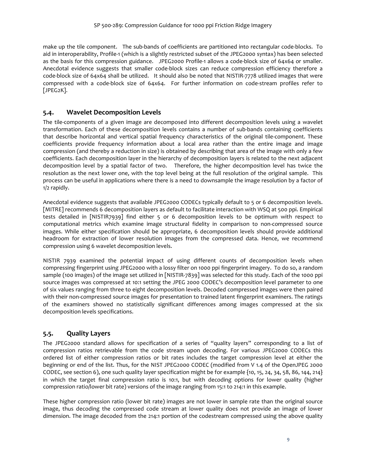make up the tile component. The sub-bands of coefficients are partitioned into rectangular code-blocks. To aid in interoperability, Profile-1 (which is a slightly restricted subset of the JPEG2000 syntax) has been selected as the basis for this compression guidance. JPEG2000 Profile-1 allows a code-block size of 64x64 or smaller. Anecdotal evidence suggests that smaller code-block sizes can reduce compression efficiency therefore a code-block size of 64x64 shall be utilized. It should also be noted that NISTIR-7778 utilized images that were compressed with a code-block size of 64x64. For further information on code-stream profiles refer to [JPEG2K].

#### <span id="page-14-0"></span>**5.4. Wavelet Decomposition Levels**

The tile-components of a given image are decomposed into different decomposition levels using a wavelet transformation. Each of these decomposition levels contains a number of sub-bands containing coefficients that describe horizontal and vertical spatial frequency characteristics of the original tile-component. These coefficients provide frequency information about a local area rather than the entire image and image compression (and thereby a reduction in size) is obtained by describing that area of the image with only a few coefficients. Each decomposition layer in the hierarchy of decomposition layers is related to the next adjacent decomposition level by a spatial factor of two. Therefore, the higher decomposition level has twice the resolution as the next lower one, with the top level being at the full resolution of the original sample. This process can be useful in applications where there is a need to downsample the image resolution by a factor of 1/2 rapidly.

Anecdotal evidence suggests that available JPEG2000 CODECs typically default to 5 or 6 decomposition levels. [MITRE] recommends 6 decomposition layers as default to facilitate interaction with WSQ at 500 ppi. Empirical tests detailed in [NISTIR7939] find either 5 or 6 decomposition levels to be optimum with respect to computational metrics which examine image structural fidelity in comparison to non-compressed source images. While either specification should be appropriate, 6 decomposition levels should provide additional headroom for extraction of lower resolution images from the compressed data. Hence, we recommend compression using 6 wavelet decomposition levels.

NISTIR 7939 examined the potential impact of using different counts of decomposition levels when compressing fingerprint using JPEG2000 with a lossy filter on 1000 ppi fingerprint imagery. To do so, a random sample (100 images) of the image set utilized in [NISTIR-7839] was selected for this study. Each of the 1000 ppi source images was compressed at 10:1 setting the JPEG 2000 CODEC's decomposition level parameter to one of six values ranging from three to eight decomposition levels. Decoded compressed images were then paired with their non-compressed source images for presentation to trained latent fingerprint examiners. The ratings of the examiners showed no statistically significant differences among images compressed at the six decomposition levels specifications.

### <span id="page-14-1"></span>**5.5. Quality Layers**

The JPEG2000 standard allows for specification of a series of "quality layers" corresponding to a list of compression ratios retrievable from the code stream upon decoding. For various JPEG2000 CODECs this ordered list of either compression ratios or bit rates includes the target compression level at either the beginning or end of the list. Thus, for the NIST JPEG2000 CODEC (modified from V 1.4 of the OpenJPEG 2000 CODEC, see section [6\)](#page-18-1), one such quality layer specification might be for example {10, 15, 24, 34, 58, 86, 144, 214} in which the target final compression ratio is 10:1, but with decoding options for lower quality (higher compression ratio/lower bit rate) versions of the image ranging from 15:1 to 214:1 in this example.

These higher compression ratio (lower bit rate) images are not lower in sample rate than the original source image, thus decoding the compressed code stream at lower quality does not provide an image of lower dimension. The image decoded from the 214:1 portion of the codestream compressed using the above quality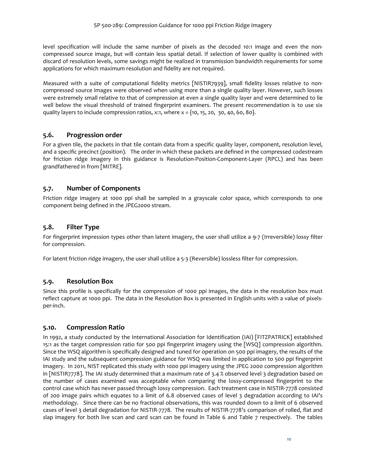level specification will include the same number of pixels as the decoded 10:1 image and even the noncompressed source image, but will contain less spatial detail. If selection of lower quality is combined with discard of resolution levels, some savings might be realized in transmission bandwidth requirements for some applications for which maximum resolution and fidelity are not required.

Measured with a suite of computational fidelity metrics [NISTIR7939], small fidelity losses relative to noncompressed source images were observed when using more than a single quality layer. However, such losses were extremely small relative to that of compression at even a single quality layer and were determined to lie well below the visual threshold of trained fingerprint examiners. The present recommendation is to use six quality layers to include compression ratios, x:1, where  $x = \{10, 15, 20, 30, 40, 60, 80\}$ .

#### <span id="page-15-0"></span>**5.6. Progression order**

For a given tile, the packets in that tile contain data from a specific quality layer, component, resolution level, and a specific precinct (position). The order in which these packets are defined in the compressed codestream for friction ridge imagery in this guidance is Resolution-Position-Component-Layer (RPCL) and has been grandfathered in from [MITRE].

#### <span id="page-15-1"></span>**5.7. Number of Components**

Friction ridge imagery at 1000 ppi shall be sampled in a grayscale color space, which corresponds to one component being defined in the JPEG2000 stream.

#### <span id="page-15-2"></span>**5.8. Filter Type**

For fingerprint impression types other than latent imagery, the user shall utilize a 9-7 (Irreversible) lossy filter for compression.

For latent friction ridge imagery, the user shall utilize a 5-3 (Reversible) lossless filter for compression.

#### <span id="page-15-3"></span>**5.9. Resolution Box**

Since this profile is specifically for the compression of 1000 ppi images, the data in the resolution box must reflect capture at 1000 ppi. The data in the Resolution Box is presented in English units with a value of pixelsper-inch.

#### <span id="page-15-4"></span>**5.10. Compression Ratio**

In 1992, a study conducted by the International Association for Identification (IAI) [FITZPATRICK] established 15:1 as the target compression ratio for 500 ppi fingerprint imagery using the [WSQ] compression algorithm. Since the WSQ algorithm is specifically designed and tuned for operation on 500 ppi imagery, the results of the IAI study and the subsequent compression guidance for WSQ was limited in application to 500 ppi fingerprint imagery. In 2011, NIST replicated this study with 1000 ppi imagery using the JPEG 2000 compression algorithm in [NISTIR7778]. The IAI study determined that a maximum rate of 3.4 % observed level 3 degradation based on the number of cases examined was acceptable when comparing the lossy-compressed fingerprint to the control case which has never passed through lossy compression. Each treatment case in NISTIR-7778 consisted of 200 image pairs which equates to a limit of 6.8 observed cases of level 3 degradation according to IAI's methodology. Since there can be no fractional observations, this was rounded down to a limit of 6 observed cases of level 3 detail degradation for NISTIR-7778. The results of NISTIR-7778's comparison of rolled, flat and slap imagery for both live scan and card scan can be found in [Table 6](#page-16-0) and [Table 7](#page-16-1) respectively. The tables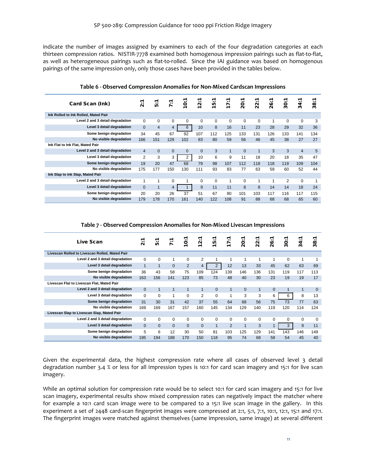indicate the number of images assigned by examiners to each of the four degradation categories at each thirteen compression ratios. NISTIR-7778 examined both homogenous impression pairings such as flat-to-flat, as well as heterogeneous pairings such as flat-to-rolled. Since the IAI guidance was based on homogenous pairings of the same impression only, only those cases have been provided in the tables below.

<span id="page-16-0"></span>

| Card Scan (Ink)                      | <br>$\sim$     | ᠇<br>٠.<br>ю.  | ᠇<br>$\ddot{r}$ | ٠.<br>$\frac{1}{2}$ | ٠.<br>$\overline{2}$ | ↽<br>$\cdot$ .<br>$\frac{15}{2}$ | ↽<br>٠.<br>17 | ↽<br>$\cdot \cdot$<br>$\overline{8}$ | ᠇<br>$\cdot \cdot$<br>$\overline{2}$ | ᠇<br>$\cdot \cdot$<br>$\mathbf{26}$ | ᠇<br>$\bullet$ .<br>$\overline{30}$ | ᠇<br>$\cdot \cdot$<br>$\frac{2}{3}$ | ᠇<br>$\cdot$ .<br>$\frac{8}{3}$ |
|--------------------------------------|----------------|----------------|-----------------|---------------------|----------------------|----------------------------------|---------------|--------------------------------------|--------------------------------------|-------------------------------------|-------------------------------------|-------------------------------------|---------------------------------|
| Ink Rolled to Ink Rolled, Mated Pair |                |                |                 |                     |                      |                                  |               |                                      |                                      |                                     |                                     |                                     |                                 |
| Level 2 and 3 detail degradation     | $\Omega$       | 0              | 0               | 0                   | 0                    | $\mathbf 0$                      | 0             | 0                                    | 0                                    | 1                                   | 0                                   | 0                                   | 3                               |
| Level 3 detail degradation           | $\Omega$       | $\overline{4}$ | $\overline{4}$  | 6                   | 10                   | 8                                | 16            | 11                                   | 23                                   | 28                                  | 29                                  | 32                                  | 36                              |
| Some benign degradation              | 34             | 45             | 67              | 92                  | 107                  | 112                              | 125           | 133                                  | 131                                  | 126                                 | 133                                 | 141                                 | 134                             |
| No visible degradation               | 166            | 151            | 129             | 102                 | 83                   | 80                               | 59            | 56                                   | 46                                   | 45                                  | 38                                  | 27                                  | 27                              |
| Ink Flat to Ink Flat, Mated Pair     |                |                |                 |                     |                      |                                  |               |                                      |                                      |                                     |                                     |                                     |                                 |
| Level 2 and 3 detail degradation     | $\overline{4}$ | $\Omega$       | $\mathbf{0}$    | $\mathbf{0}$        | $\mathbf{0}$         | 3                                | $\mathbf{1}$  | $\mathbf{0}$                         | $\mathbf{1}$                         | 3                                   | 3                                   | $\overline{4}$                      | 5                               |
| Level 3 detail degradation           | $\overline{2}$ | 3              | 3               | 2                   | 10                   | 6                                | 9             | 11                                   | 18                                   | 20                                  | 18                                  | 35                                  | 47                              |
| Some benign degradation              | 19             | 20             | 47              | 68                  | 79                   | 98                               | 107           | 112                                  | 118                                  | 118                                 | 119                                 | 109                                 | 104                             |
| No visible degradation               | 175            | 177            | 150             | 130                 | 111                  | 93                               | 83            | 77                                   | 63                                   | 59                                  | 60                                  | 52                                  | 44                              |
| Ink Slap to Ink Slap, Mated Pair     |                |                |                 |                     |                      |                                  |               |                                      |                                      |                                     |                                     |                                     |                                 |
| Level 2 and 3 detail degradation     | 1              |                | 0               |                     | 0                    | $\mathbf 0$                      | $\mathbf{1}$  | 0                                    |                                      | 1                                   | 2                                   | 0                                   |                                 |
| Level 3 detail degradation           | $\Omega$       | $\mathbf{1}$   | $\overline{4}$  |                     | 9                    | 11                               | 11            | 8                                    | 8                                    | 14                                  | 14                                  | 18                                  | 24                              |
| Some benign degradation              | 20             | 20             | 26              | 37                  | 51                   | 67                               | 80            | 101                                  | 103                                  | 117                                 | 116                                 | 117                                 | 115                             |
| No visible degradation               | 179            | 178            | 170             | 161                 | 140                  | 122                              | 108           | 91                                   | 88                                   | 68                                  | 68                                  | 65                                  | 60                              |

**Table 6 - Observed Compression Anomalies for Non-Mixed Cardscan Impressions**

**Table 7 - Observed Compression Anomalies for Non-Mixed Livescan Impressions**

<span id="page-16-1"></span>

| Live Scan                                      | $\ddot{\ddot{\mathbf{v}}}$ | π.<br><b>IO</b> | 7:7      | $\ddot{\phantom{0}}$<br>ë | $\cdot \cdot$<br>$\ddot{\mathbf{N}}$<br>$\blacksquare$ | $\cdot \cdot$<br>LO.<br>$\blacksquare$ | $\cdot \cdot$<br>$\overline{1}$ | $\cdot \cdot$<br>$\overline{5}$ | $\cdot$ .<br>$\sim$<br>$\overline{N}$ | $\cdot \cdot$<br>26 | $\cdot \cdot$<br>$\overline{30}$ | $\cdot \cdot$<br>4<br>ო | ᠇<br>$\bullet\,\bullet$<br>$\infty$<br>$\tilde{\mathbf{c}}$ |
|------------------------------------------------|----------------------------|-----------------|----------|---------------------------|--------------------------------------------------------|----------------------------------------|---------------------------------|---------------------------------|---------------------------------------|---------------------|----------------------------------|-------------------------|-------------------------------------------------------------|
| Livescan Rolled to Livescan Rolled, Mated Pair |                            |                 |          |                           |                                                        |                                        |                                 |                                 |                                       |                     |                                  |                         |                                                             |
| Level 2 and 3 detail degradation               | $\Omega$                   | $\Omega$        | 1        | 0                         | 2                                                      | 1                                      | 1                               | 1                               | 1                                     | 1                   | $\Omega$                         | 1                       | 1                                                           |
| Level 3 detail degradation                     | $\mathbf{1}$               | $\mathbf{1}$    | $\Omega$ | 2                         | 4                                                      | $\overline{2}$                         | 12                              | 13                              | 33                                    | 45                  | 62                               | 63                      | 69                                                          |
| Some benign degradation                        | 36                         | 43              | 58       | 75                        | 109                                                    | 124                                    | 139                             | 146                             | 136                                   | 131                 | 119                              | 117                     | 113                                                         |
| No visible degradation                         | 163                        | 156             | 141      | 123                       | 85                                                     | 73                                     | 48                              | 40                              | 30                                    | 23                  | 19                               | 19                      | 17                                                          |
| Livescan Flat to Livescan Flat, Mated Pair     |                            |                 |          |                           |                                                        |                                        |                                 |                                 |                                       |                     |                                  |                         |                                                             |
| Level 2 and 3 detail degradation               | $\Omega$                   | 1               | 1        | 1                         | $\mathbf{1}$                                           | $\Omega$                               | $\mathbf{1}$                    | $\overline{0}$                  | $\mathbf{1}$                          | $\Omega$            |                                  | $\mathbf{1}$            | $\overline{0}$                                              |
| Level 3 detail degradation                     | $\Omega$                   | $\Omega$        | 1        | 0                         | $\overline{2}$                                         | 0                                      | 1                               | 3                               | 3                                     | 6                   | 6                                | 8                       | 13                                                          |
| Some benign degradation                        | 31                         | 30              | 31       | 42                        | 37                                                     | 55                                     | 64                              | 68                              | 56                                    | 75                  | 73                               | 77                      | 63                                                          |
| No visible degradation                         | 169                        | 169             | 167      | 157                       | 160                                                    | 145                                    | 134                             | 129                             | 140                                   | 119                 | 120                              | 114                     | 124                                                         |
| Livescan Slap to Livescan Slap, Mated Pair     |                            |                 |          |                           |                                                        |                                        |                                 |                                 |                                       |                     |                                  |                         |                                                             |
| Level 2 and 3 detail degradation               | $\Omega$                   | $\Omega$        | $\Omega$ | $\Omega$                  | $\mathbf 0$                                            | 0                                      | 0                               | 0                               | 0                                     | $\Omega$            | $\Omega$                         | 0                       | $\mathbf 0$                                                 |
| Level 3 detail degradation                     | $\Omega$                   | $\Omega$        | $\Omega$ | $\Omega$                  | $\Omega$                                               | $\overline{1}$                         | $\overline{2}$                  | $\mathbf{1}$                    | 3                                     |                     | 3                                | 9                       | 11                                                          |
| Some benign degradation                        | 5                          | 6               | 12       | 30                        | 50                                                     | 81                                     | 103                             | 125                             | 129                                   | 141                 | 143                              | 146                     | 149                                                         |
| No visible degradation                         | 195                        | 194             | 188      | 170                       | 150                                                    | 118                                    | 95                              | 74                              | 68                                    | 58                  | 54                               | 45                      | 40                                                          |

Given the experimental data, the highest compression rate where all cases of observed level 3 detail degradation number 3.4 % or less for all impression types is 10:1 for card scan imagery and 15:1 for live scan imagery.

While an optimal solution for compression rate would be to select 10:1 for card scan imagery and 15:1 for live scan imagery, experimental results show mixed compression rates can negatively impact the matcher where for example a 10:1 card scan image were to be compared to a 15:1 live scan image in the gallery. In this experiment a set of 2448 card-scan fingerprint images were compressed at 2:1, 5:1, 7:1, 10:1, 12:1, 15:1 and 17:1. The fingerprint images were matched against themselves (same impression, same image) at several different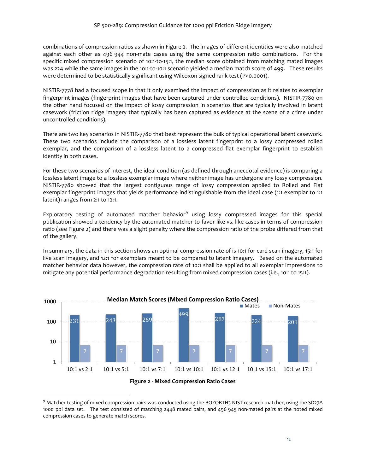combinations of compression ratios as shown in [Figure 2.](#page-17-0) The images of different identities were also matched against each other as 496 944 non-mate cases using the same compression ratio combinations. For the specific mixed compression scenario of 10:1-to-15:1, the median score obtained from matching mated images was 224 while the same images in the 10:1-to-10:1 scenario yielded a median match score of 499. These results were determined to be statistically significant using Wilcoxon signed rank test (P<0.0001).

NISTIR-7778 had a focused scope in that it only examined the impact of compression as it relates to exemplar fingerprint images (fingerprint images that have been captured under controlled conditions). NISTIR-7780 on the other hand focused on the impact of lossy compression in scenarios that are typically involved in latent casework (friction ridge imagery that typically has been captured as evidence at the scene of a crime under uncontrolled conditions).

There are two key scenarios in NISTIR-7780 that best represent the bulk of typical operational latent casework. These two scenarios include the comparison of a lossless latent fingerprint to a lossy compressed rolled exemplar, and the comparison of a lossless latent to a compressed flat exemplar fingerprint to establish identity in both cases.

For these two scenarios of interest, the ideal condition (as defined through anecdotal evidence) is comparing a lossless latent image to a lossless exemplar image where neither image has undergone any lossy compression. NISTIR-7780 showed that the largest contiguous range of lossy compression applied to Rolled and Flat exemplar fingerprint images that yields performance indistinguishable from the ideal case (1:1 exemplar to 1:1 latent) ranges from 2:1 to 12:1.

Exploratory testing of automated matcher behavior<sup>[9](#page-17-1)</sup> using lossy compressed images for this special publication showed a tendency by the automated matcher to favor like-vs.-like cases in terms of compression ratio (se[e Figure 2\)](#page-17-0) and there was a slight penalty where the compression ratio of the probe differed from that of the gallery.

In summary, the data in this section shows an optimal compression rate of is 10:1 for card scan imagery, 15:1 for live scan imagery, and 12:1 for exemplars meant to be compared to latent imagery. Based on the automated matcher behavior data however, the compression rate of 10:1 shall be applied to all exemplar impressions to mitigate any potential performance degradation resulting from mixed compression cases (i.e., 10:1 to 15:1).



<span id="page-17-1"></span> $9$  Matcher testing of mixed compression pairs was conducted using the BOZORTH3 NIST research matcher, using the SD27A 1000 ppi data set. The test consisted of matching 2448 mated pairs, and 496 945 non-mated pairs at the noted mixed compression cases to generate match scores.

<span id="page-17-0"></span>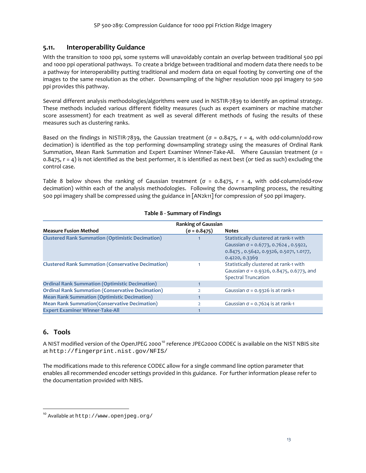#### <span id="page-18-0"></span>**5.11. Interoperability Guidance**

With the transition to 1000 ppi, some systems will unavoidably contain an overlap between traditional 500 ppi and 1000 ppi operational pathways. To create a bridge between traditional and modern data there needs to be a pathway for interoperability putting traditional and modern data on equal footing by converting one of the images to the same resolution as the other. Downsampling of the higher resolution 1000 ppi imagery to 500 ppi provides this pathway.

Several different analysis methodologies/algorithms were used in NISTIR-7839 to identify an optimal strategy. These methods included various different fidelity measures (such as expert examiners or machine matcher score assessment) for each treatment as well as several different methods of fusing the results of these measures such as clustering ranks.

Based on the findings in NISTIR-7839, the Gaussian treatment ( $\sigma$  = 0.8475,  $r$  = 4, with odd-column/odd-row decimation) is identified as the top performing downsampling strategy using the measures of Ordinal Rank Summation, Mean Rank Summation and Expert Examiner Winner-Take-All. Where Gaussian treatment (σ =  $0.8475$ ,  $r = 4$ ) is not identified as the best performer, it is identified as next best (or tied as such) excluding the control case.

[Table 8](#page-18-2) below shows the ranking of Gaussian treatment ( $\sigma = 0.8475$ ,  $r = 4$ , with odd-column/odd-row decimation) within each of the analysis methodologies. Following the downsampling process, the resulting 500 ppi imagery shall be compressed using the guidance in [AN2k11] for compression of 500 ppi imagery.

<span id="page-18-2"></span>

|                                                           | <b>Ranking of Gaussian</b> |                                                                                                                                                    |
|-----------------------------------------------------------|----------------------------|----------------------------------------------------------------------------------------------------------------------------------------------------|
| <b>Measure Fusion Method</b>                              | $(\sigma = 0.8475)$        | <b>Notes</b>                                                                                                                                       |
| <b>Clustered Rank Summation (Optimistic Decimation)</b>   |                            | Statistically clustered at rank-1 with<br>Gaussian $\sigma$ = 0.6773, 0.7624, 0.5922,<br>0.8475, 0.5642, 0.9326, 0.5071, 1.0177,<br>0.4220, 0.3369 |
| <b>Clustered Rank Summation (Conservative Decimation)</b> |                            | Statistically clustered at rank-1 with<br>Gaussian $\sigma$ = 0.9326, 0.8475, 0.6773, and<br><b>Spectral Truncation</b>                            |
| <b>Ordinal Rank Summation (Optimistic Decimation)</b>     |                            |                                                                                                                                                    |
| <b>Ordinal Rank Summation (Conservative Decimation)</b>   |                            | Gaussian $\sigma$ = 0.9326 is at rank-1                                                                                                            |
| <b>Mean Rank Summation (Optimistic Decimation)</b>        |                            |                                                                                                                                                    |
| <b>Mean Rank Summation (Conservative Decimation)</b>      |                            | Gaussian $\sigma$ = 0.7624 is at rank-1                                                                                                            |
| <b>Expert Examiner Winner-Take-All</b>                    |                            |                                                                                                                                                    |

#### **Table 8 - Summary of Findings**

#### <span id="page-18-1"></span>**6. Tools**

A NIST modified version of the OpenJPEG 2000<sup>[10](#page-18-3)</sup> reference JPEG2000 CODEC is available on the NIST NBIS site at http://fingerprint.nist.gov/NFIS/

The modifications made to this reference CODEC allow for a single command line option parameter that enables all recommended encoder settings provided in this guidance. For further information please refer to the documentation provided with NBIS.

<span id="page-18-3"></span><sup>10</sup> Available at http://www.openjpeg.org/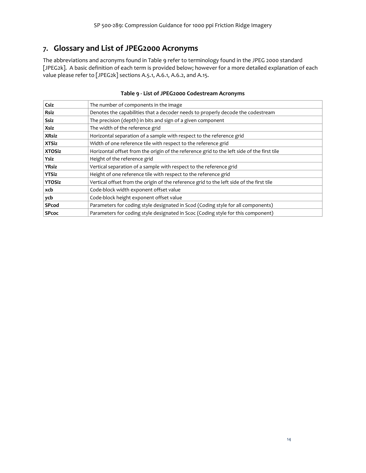## <span id="page-19-0"></span>**7. Glossary and List of JPEG2000 Acronyms**

The abbreviations and acronyms found in [Table 9](#page-19-1) refer to terminology found in the JPEG 2000 standard [JPEG2k]. A basic definition of each term is provided below; however for a more detailed explanation of each value please refer to [JPEG2k] sections A.5.1, A.6.1, A.6.2, and A.15.

<span id="page-19-1"></span>

| Csiz          | The number of components in the image                                                      |
|---------------|--------------------------------------------------------------------------------------------|
| Rsiz          | Denotes the capabilities that a decoder needs to properly decode the codestream            |
| Ssiz          | The precision (depth) in bits and sign of a given component                                |
| Xsiz          | The width of the reference grid                                                            |
| <b>XRsiz</b>  | Horizontal separation of a sample with respect to the reference grid                       |
| <b>XTSiz</b>  | Width of one reference tile with respect to the reference grid                             |
| <b>XTOSiz</b> | Horizontal offset from the origin of the reference grid to the left side of the first tile |
| Ysiz          | Height of the reference grid                                                               |
| <b>YRsiz</b>  | Vertical separation of a sample with respect to the reference grid                         |
| <b>YTSiz</b>  | Height of one reference tile with respect to the reference grid                            |
| <b>YTOSiz</b> | Vertical offset from the origin of the reference grid to the left side of the first tile   |
| xcb           | Code-block width exponent offset value                                                     |
| ycb           | Code-block height exponent offset value                                                    |
| SPcod         | Parameters for coding style designated in Scod (Coding style for all components)           |
| <b>SPcoc</b>  | Parameters for coding style designated in Scoc (Coding style for this component)           |

#### **Table 9 - List of JPEG2000 Codestream Acronyms**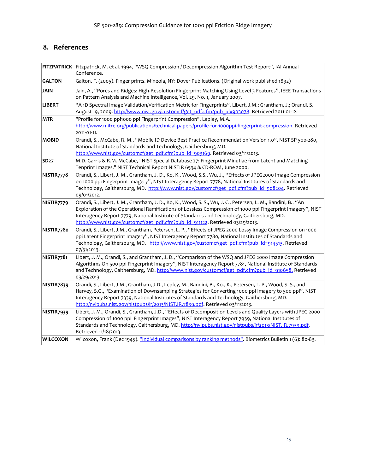### <span id="page-20-0"></span>**8. References**

|                  | FITZPATRICK Fitzpatrick, M. et al. 1994, "WSQ Compression / Decompression Algorithm Test Report", IAI Annual<br>Conference.                                                                                                                                                                                                                                                                                 |
|------------------|-------------------------------------------------------------------------------------------------------------------------------------------------------------------------------------------------------------------------------------------------------------------------------------------------------------------------------------------------------------------------------------------------------------|
| <b>GALTON</b>    | Galton, F. (2005). Finger prints. Mineola, NY: Dover Publications. (Original work published 1892)                                                                                                                                                                                                                                                                                                           |
| <b>JAIN</b>      | Jain, A., "Pores and Ridges: High-Resolution Fingerprint Matching Using Level 3 Features", IEEE Transactions<br>on Pattern Analysis and Machine Intelligence, Vol. 29, No. 1, January 2007.                                                                                                                                                                                                                 |
| <b>LIBERT</b>    | "A 1D Spectral Image Validation/Verification Metric for Fingerprints". Libert, J.M.; Grantham, J.; Orandi, S.<br>August 19, 2009. http://www.nist.gov/customcf/get_pdf.cfm?pub_id=903078. Retrieved 2011-01-12.                                                                                                                                                                                             |
| <b>MTR</b>       | "Profile for 1000 ppi1000 ppi Fingerprint Compression". Lepley, M.A.<br>http://www.mitre.org/publications/technical-papers/profile-for-1000ppi-fingerprint-compression. Retrieved<br>2011-01-11.                                                                                                                                                                                                            |
| <b>MOBID</b>     | Orandi, S., McCabe, R. M., "Mobile ID Device Best Practice Recommendation Version 1.0", NIST SP 500-280,<br>National Institute of Standards and Technology, Gaithersburg, MD.<br>http://www.nist.gov/customcf/get_pdf.cfm?pub_id=903169. Retrieved 03/11/2013.                                                                                                                                              |
| SD <sub>27</sub> | M.D. Garris & R.M. McCabe, "NIST Special Database 27: Fingerprint Minutiae from Latent and Matching<br>Tenprint Images," NIST Technical Report NISTIR 6534 & CD-ROM, June 2000.                                                                                                                                                                                                                             |
| NISTIR7778       | Orandi, S., Libert, J. M., Grantham, J. D., Ko, K., Wood, S.S., Wu, J., "Effects of JPEG2000 Image Compression<br>on 1000 ppi Fingerprint Imagery", NIST Interagency Report 7778, National Institutes of Standards and<br>Technology, Gaithersburg, MD. http://www.nist.gov/customcf/get_pdf.cfm?pub_id=908204. Retrieved<br>09/01/2012.                                                                    |
| NISTIR7779       | Orandi, S., Libert, J. M., Grantham, J. D., Ko, K., Wood, S. S., Wu, J. C., Petersen, L. M., Bandini, B., "An<br>Exploration of the Operational Ramifications of Lossless Compression of 1000 ppi Fingerprint Imagery", NIST<br>Interagency Report 7779, National Institute of Standards and Technology, Gaithersburg, MD.<br>http://www.nist.gov/customcf/get_pdf.cfm?pub_id=911122. Retrieved 03/29/2013. |
| NISTIR7780       | Orandi, S., Libert, J.M., Grantham, Petersen, L. P., "Effects of JPEG 2000 Lossy Image Compression on 1000<br>ppi Latent Fingerprint Imagery", NIST Interagency Report 7780, National Institutes of Standards and<br>Technology, Gaithersburg, MD. http://www.nist.gov/customcf/get_pdf.cfm?pub_id=914513. Retrieved<br>07/31/2013.                                                                         |
| NISTIR7781       | Libert, J. M., Orandi, S., and Grantham, J. D., "Comparison of the WSQ and JPEG 2000 Image Compression<br>Algorithms On 500 ppi Fingerprint Imagery", NIST Interagency Report 7781, National Institute of Standards<br>and Technology, Gaithersburg, MD. http://www.nist.gov/customcf/get_pdf.cfm?pub_id=910658. Retrieved<br>03/29/2013.                                                                   |
| NISTIR7839       | Orandi, S., Libert, J.M., Grantham, J.D., Lepley, M., Bandini, B., Ko., K., Petersen, L. P., Wood, S. S., and<br>Harvey, S.G., "Examination of Downsampling Strategies for Converting 1000 ppi Imagery to 500 ppi", NIST<br>Interagency Report 7339, National Institutes of Standards and Technology, Gaithersburg, MD.<br>http://nvlpubs.nist.gov/nistpubs/ir/2013/NIST.IR.7839.pdf. Retrieved 03/11/2013. |
| NISTIR7939       | Libert, J. M., Orandi, S., Grantham, J.D., "Effects of Decomposition Levels and Quality Layers with JPEG 2000<br>Compression of 1000 ppi Fingerprint Images", NIST Interagency Report 7939, National Institutes of<br>Standards and Technology, Gaithersburg, MD. http://nvlpubs.nist.gov/nistpubs/ir/2013/NIST.IR.7939.pdf.<br>Retrieved 11/18/2013.                                                       |
| <b>WILCOXON</b>  | Wilcoxon, Frank (Dec 1945). "Individual comparisons by ranking methods". Biometrics Bulletin 1 (6): 80-83.                                                                                                                                                                                                                                                                                                  |